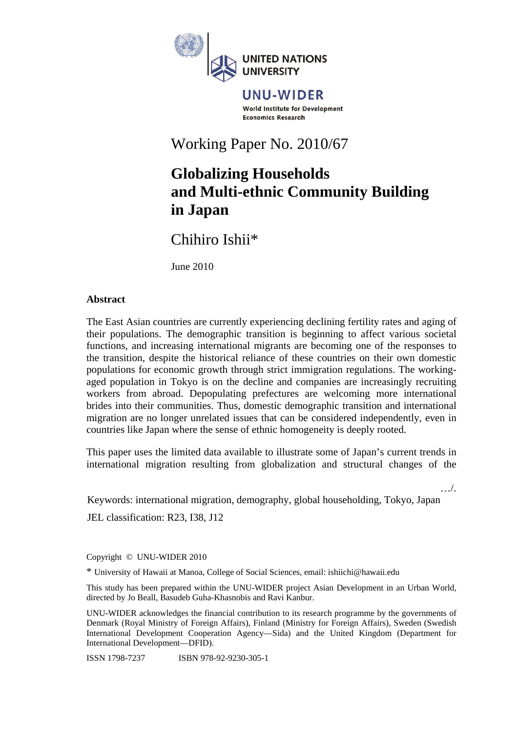

UNU-WIDER World Institute for Development **Economics Research** 

Working Paper No. 2010/67

# **Globalizing Households and Multi-ethnic Community Building in Japan**

Chihiro Ishii\*

June 2010

## **Abstract**

The East Asian countries are currently experiencing declining fertility rates and aging of their populations. The demographic transition is beginning to affect various societal functions, and increasing international migrants are becoming one of the responses to the transition, despite the historical reliance of these countries on their own domestic populations for economic growth through strict immigration regulations. The workingaged population in Tokyo is on the decline and companies are increasingly recruiting workers from abroad. Depopulating prefectures are welcoming more international brides into their communities. Thus, domestic demographic transition and international migration are no longer unrelated issues that can be considered independently, even in countries like Japan where the sense of ethnic homogeneity is deeply rooted.

This paper uses the limited data available to illustrate some of Japan's current trends in international migration resulting from globalization and structural changes of the

…/.

Keywords: international migration, demography, global householding, Tokyo, Japan

JEL classification: R23, I38, J12

Copyright © UNU-WIDER 2010

\* University of Hawaii at Manoa, College of Social Sciences, email: ishiichi@hawaii.edu

This study has been prepared within the UNU-WIDER project Asian Development in an Urban World, directed by Jo Beall, Basudeb Guha-Khasnobis and Ravi Kanbur.

UNU-WIDER acknowledges the financial contribution to its research programme by the governments of Denmark (Royal Ministry of Foreign Affairs), Finland (Ministry for Foreign Affairs), Sweden (Swedish International Development Cooperation Agency—Sida) and the United Kingdom (Department for International Development—DFID).

ISSN 1798-7237 ISBN 978-92-9230-305-1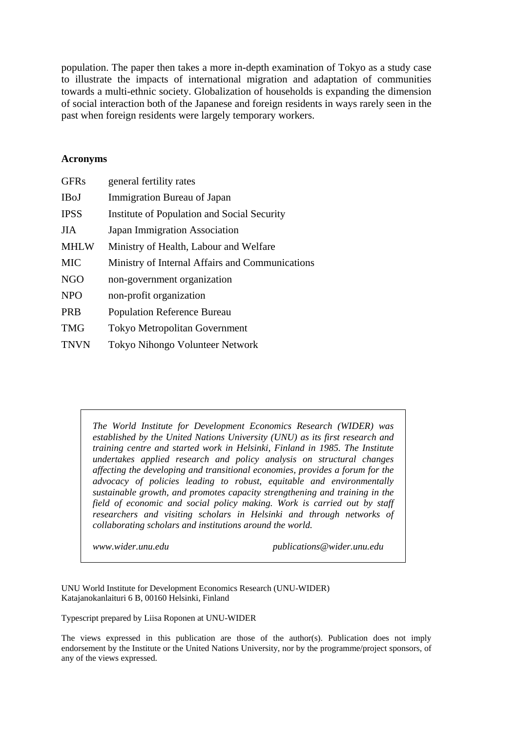population. The paper then takes a more in-depth examination of Tokyo as a study case to illustrate the impacts of international migration and adaptation of communities towards a multi-ethnic society. Globalization of households is expanding the dimension of social interaction both of the Japanese and foreign residents in ways rarely seen in the past when foreign residents were largely temporary workers.

#### **Acronyms**

| <b>GFRs</b> | general fertility rates                         |
|-------------|-------------------------------------------------|
| <b>IBoJ</b> | Immigration Bureau of Japan                     |
| <b>IPSS</b> | Institute of Population and Social Security     |
| <b>JIA</b>  | <b>Japan Immigration Association</b>            |
| <b>MHLW</b> | Ministry of Health, Labour and Welfare          |
| <b>MIC</b>  | Ministry of Internal Affairs and Communications |
| <b>NGO</b>  | non-government organization                     |
| <b>NPO</b>  | non-profit organization                         |
| <b>PRB</b>  | <b>Population Reference Bureau</b>              |
| <b>TMG</b>  | <b>Tokyo Metropolitan Government</b>            |
| <b>TNVN</b> | <b>Tokyo Nihongo Volunteer Network</b>          |

*The World Institute for Development Economics Research (WIDER) was established by the United Nations University (UNU) as its first research and training centre and started work in Helsinki, Finland in 1985. The Institute undertakes applied research and policy analysis on structural changes affecting the developing and transitional economies, provides a forum for the advocacy of policies leading to robust, equitable and environmentally sustainable growth, and promotes capacity strengthening and training in the field of economic and social policy making. Work is carried out by staff researchers and visiting scholars in Helsinki and through networks of collaborating scholars and institutions around the world.* 

*www.wider.unu.edu publications@wider.unu.edu* 

UNU World Institute for Development Economics Research (UNU-WIDER) Katajanokanlaituri 6 B, 00160 Helsinki, Finland

Typescript prepared by Liisa Roponen at UNU-WIDER

The views expressed in this publication are those of the author(s). Publication does not imply endorsement by the Institute or the United Nations University, nor by the programme/project sponsors, of any of the views expressed.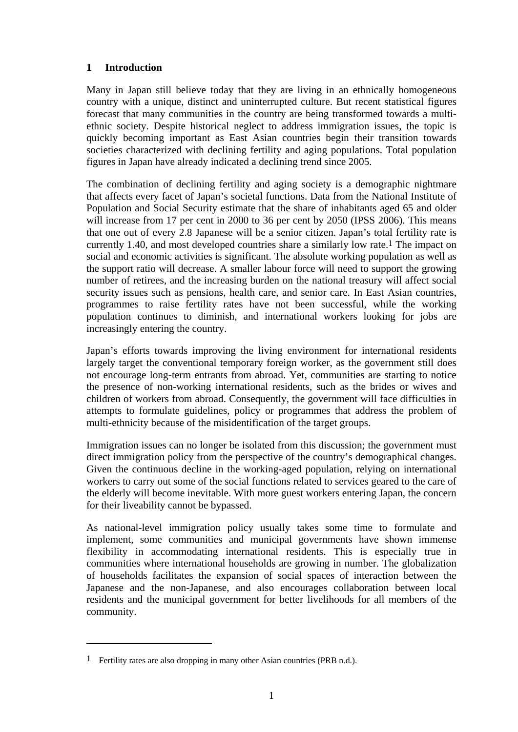# **1 Introduction**

Many in Japan still believe today that they are living in an ethnically homogeneous country with a unique, distinct and uninterrupted culture. But recent statistical figures forecast that many communities in the country are being transformed towards a multiethnic society. Despite historical neglect to address immigration issues, the topic is quickly becoming important as East Asian countries begin their transition towards societies characterized with declining fertility and aging populations. Total population figures in Japan have already indicated a declining trend since 2005.

The combination of declining fertility and aging society is a demographic nightmare that affects every facet of Japan's societal functions. Data from the National Institute of Population and Social Security estimate that the share of inhabitants aged 65 and older will increase from 17 per cent in 2000 to 36 per cent by 2050 (IPSS 2006). This means that one out of every 2.8 Japanese will be a senior citizen. Japan's total fertility rate is currently 1.40, and most developed countries share a similarly low rate.1 The impact on social and economic activities is significant. The absolute working population as well as the support ratio will decrease. A smaller labour force will need to support the growing number of retirees, and the increasing burden on the national treasury will affect social security issues such as pensions, health care, and senior care. In East Asian countries, programmes to raise fertility rates have not been successful, while the working population continues to diminish, and international workers looking for jobs are increasingly entering the country.

Japan's efforts towards improving the living environment for international residents largely target the conventional temporary foreign worker, as the government still does not encourage long-term entrants from abroad. Yet, communities are starting to notice the presence of non-working international residents, such as the brides or wives and children of workers from abroad. Consequently, the government will face difficulties in attempts to formulate guidelines, policy or programmes that address the problem of multi-ethnicity because of the misidentification of the target groups.

Immigration issues can no longer be isolated from this discussion; the government must direct immigration policy from the perspective of the country's demographical changes. Given the continuous decline in the working-aged population, relying on international workers to carry out some of the social functions related to services geared to the care of the elderly will become inevitable. With more guest workers entering Japan, the concern for their liveability cannot be bypassed.

As national-level immigration policy usually takes some time to formulate and implement, some communities and municipal governments have shown immense flexibility in accommodating international residents. This is especially true in communities where international households are growing in number. The globalization of households facilitates the expansion of social spaces of interaction between the Japanese and the non-Japanese, and also encourages collaboration between local residents and the municipal government for better livelihoods for all members of the community.

1

<sup>1</sup> Fertility rates are also dropping in many other Asian countries (PRB n.d.).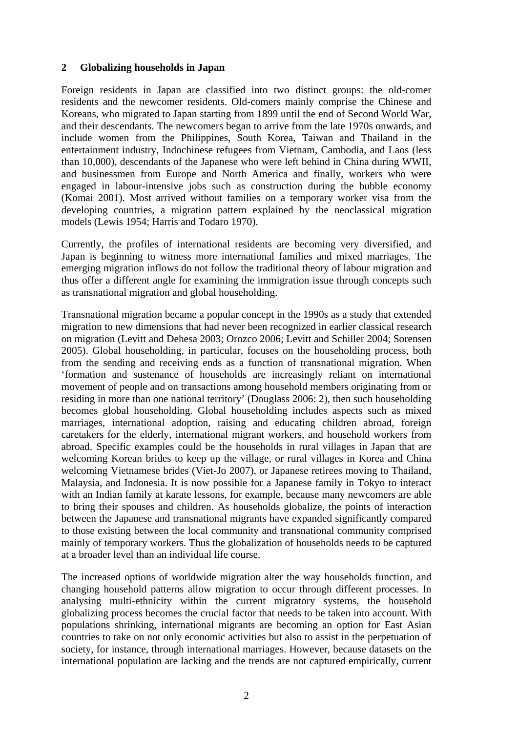#### **2 Globalizing households in Japan**

Foreign residents in Japan are classified into two distinct groups: the old-comer residents and the newcomer residents. Old-comers mainly comprise the Chinese and Koreans, who migrated to Japan starting from 1899 until the end of Second World War, and their descendants. The newcomers began to arrive from the late 1970s onwards, and include women from the Philippines, South Korea, Taiwan and Thailand in the entertainment industry, Indochinese refugees from Vietnam, Cambodia, and Laos (less than 10,000), descendants of the Japanese who were left behind in China during WWII, and businessmen from Europe and North America and finally, workers who were engaged in labour-intensive jobs such as construction during the bubble economy (Komai 2001). Most arrived without families on a temporary worker visa from the developing countries, a migration pattern explained by the neoclassical migration models (Lewis 1954; Harris and Todaro 1970).

Currently, the profiles of international residents are becoming very diversified, and Japan is beginning to witness more international families and mixed marriages. The emerging migration inflows do not follow the traditional theory of labour migration and thus offer a different angle for examining the immigration issue through concepts such as transnational migration and global householding.

Transnational migration became a popular concept in the 1990s as a study that extended migration to new dimensions that had never been recognized in earlier classical research on migration (Levitt and Dehesa 2003; Orozco 2006; Levitt and Schiller 2004; Sorensen 2005). Global householding, in particular, focuses on the householding process, both from the sending and receiving ends as a function of transnational migration. When 'formation and sustenance of households are increasingly reliant on international movement of people and on transactions among household members originating from or residing in more than one national territory' (Douglass 2006: 2), then such householding becomes global householding. Global householding includes aspects such as mixed marriages, international adoption, raising and educating children abroad, foreign caretakers for the elderly, international migrant workers, and household workers from abroad. Specific examples could be the households in rural villages in Japan that are welcoming Korean brides to keep up the village, or rural villages in Korea and China welcoming Vietnamese brides (Viet-Jo 2007), or Japanese retirees moving to Thailand, Malaysia, and Indonesia. It is now possible for a Japanese family in Tokyo to interact with an Indian family at karate lessons, for example, because many newcomers are able to bring their spouses and children. As households globalize, the points of interaction between the Japanese and transnational migrants have expanded significantly compared to those existing between the local community and transnational community comprised mainly of temporary workers. Thus the globalization of households needs to be captured at a broader level than an individual life course.

The increased options of worldwide migration alter the way households function, and changing household patterns allow migration to occur through different processes. In analysing multi-ethnicity within the current migratory systems, the household globalizing process becomes the crucial factor that needs to be taken into account. With populations shrinking, international migrants are becoming an option for East Asian countries to take on not only economic activities but also to assist in the perpetuation of society, for instance, through international marriages. However, because datasets on the international population are lacking and the trends are not captured empirically, current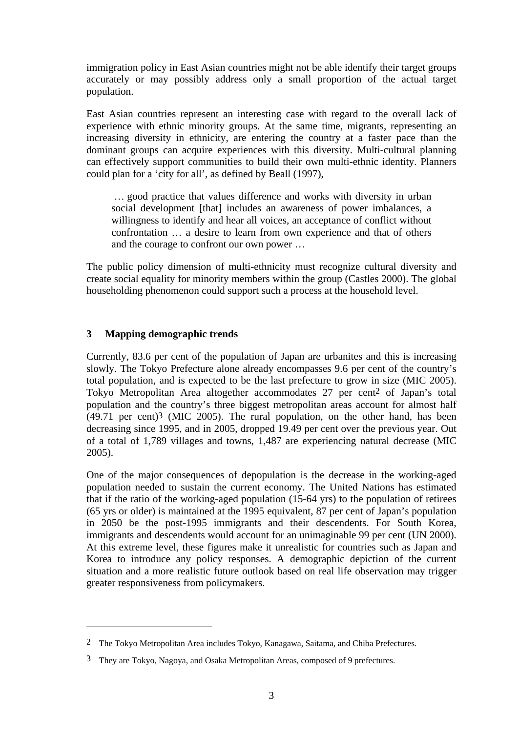immigration policy in East Asian countries might not be able identify their target groups accurately or may possibly address only a small proportion of the actual target population.

East Asian countries represent an interesting case with regard to the overall lack of experience with ethnic minority groups. At the same time, migrants, representing an increasing diversity in ethnicity, are entering the country at a faster pace than the dominant groups can acquire experiences with this diversity. Multi-cultural planning can effectively support communities to build their own multi-ethnic identity. Planners could plan for a 'city for all', as defined by Beall (1997),

 … good practice that values difference and works with diversity in urban social development [that] includes an awareness of power imbalances, a willingness to identify and hear all voices, an acceptance of conflict without confrontation … a desire to learn from own experience and that of others and the courage to confront our own power …

The public policy dimension of multi-ethnicity must recognize cultural diversity and create social equality for minority members within the group (Castles 2000). The global householding phenomenon could support such a process at the household level.

## **3 Mapping demographic trends**

1

Currently, 83.6 per cent of the population of Japan are urbanites and this is increasing slowly. The Tokyo Prefecture alone already encompasses 9.6 per cent of the country's total population, and is expected to be the last prefecture to grow in size (MIC 2005). Tokyo Metropolitan Area altogether accommodates 27 per cent2 of Japan's total population and the country's three biggest metropolitan areas account for almost half  $(49.71$  per cent)<sup>3</sup> (MIC 2005). The rural population, on the other hand, has been decreasing since 1995, and in 2005, dropped 19.49 per cent over the previous year. Out of a total of 1,789 villages and towns, 1,487 are experiencing natural decrease (MIC 2005).

One of the major consequences of depopulation is the decrease in the working-aged population needed to sustain the current economy. The United Nations has estimated that if the ratio of the working-aged population (15-64 yrs) to the population of retirees (65 yrs or older) is maintained at the 1995 equivalent, 87 per cent of Japan's population in 2050 be the post-1995 immigrants and their descendents. For South Korea, immigrants and descendents would account for an unimaginable 99 per cent (UN 2000). At this extreme level, these figures make it unrealistic for countries such as Japan and Korea to introduce any policy responses. A demographic depiction of the current situation and a more realistic future outlook based on real life observation may trigger greater responsiveness from policymakers.

<sup>2</sup> The Tokyo Metropolitan Area includes Tokyo, Kanagawa, Saitama, and Chiba Prefectures.

<sup>3</sup> They are Tokyo, Nagoya, and Osaka Metropolitan Areas, composed of 9 prefectures.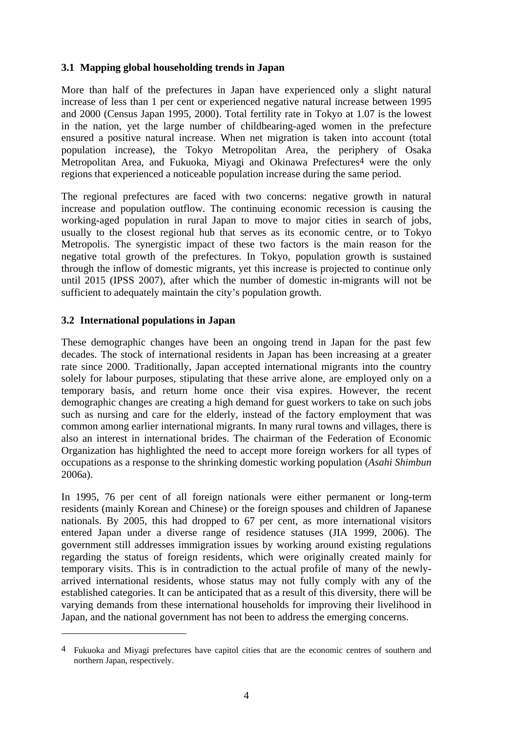## **3.1 Mapping global householding trends in Japan**

More than half of the prefectures in Japan have experienced only a slight natural increase of less than 1 per cent or experienced negative natural increase between 1995 and 2000 (Census Japan 1995, 2000). Total fertility rate in Tokyo at 1.07 is the lowest in the nation, yet the large number of childbearing-aged women in the prefecture ensured a positive natural increase. When net migration is taken into account (total population increase), the Tokyo Metropolitan Area, the periphery of Osaka Metropolitan Area, and Fukuoka, Miyagi and Okinawa Prefectures4 were the only regions that experienced a noticeable population increase during the same period.

The regional prefectures are faced with two concerns: negative growth in natural increase and population outflow. The continuing economic recession is causing the working-aged population in rural Japan to move to major cities in search of jobs, usually to the closest regional hub that serves as its economic centre, or to Tokyo Metropolis. The synergistic impact of these two factors is the main reason for the negative total growth of the prefectures. In Tokyo, population growth is sustained through the inflow of domestic migrants, yet this increase is projected to continue only until 2015 (IPSS 2007), after which the number of domestic in-migrants will not be sufficient to adequately maintain the city's population growth.

## **3.2 International populations in Japan**

 $\overline{a}$ 

These demographic changes have been an ongoing trend in Japan for the past few decades. The stock of international residents in Japan has been increasing at a greater rate since 2000. Traditionally, Japan accepted international migrants into the country solely for labour purposes, stipulating that these arrive alone, are employed only on a temporary basis, and return home once their visa expires. However, the recent demographic changes are creating a high demand for guest workers to take on such jobs such as nursing and care for the elderly, instead of the factory employment that was common among earlier international migrants. In many rural towns and villages, there is also an interest in international brides. The chairman of the Federation of Economic Organization has highlighted the need to accept more foreign workers for all types of occupations as a response to the shrinking domestic working population (*Asahi Shimbun* 2006a).

In 1995, 76 per cent of all foreign nationals were either permanent or long-term residents (mainly Korean and Chinese) or the foreign spouses and children of Japanese nationals. By 2005, this had dropped to 67 per cent, as more international visitors entered Japan under a diverse range of residence statuses (JIA 1999, 2006). The government still addresses immigration issues by working around existing regulations regarding the status of foreign residents, which were originally created mainly for temporary visits. This is in contradiction to the actual profile of many of the newlyarrived international residents, whose status may not fully comply with any of the established categories. It can be anticipated that as a result of this diversity, there will be varying demands from these international households for improving their livelihood in Japan, and the national government has not been to address the emerging concerns.

<sup>4</sup> Fukuoka and Miyagi prefectures have capitol cities that are the economic centres of southern and northern Japan, respectively.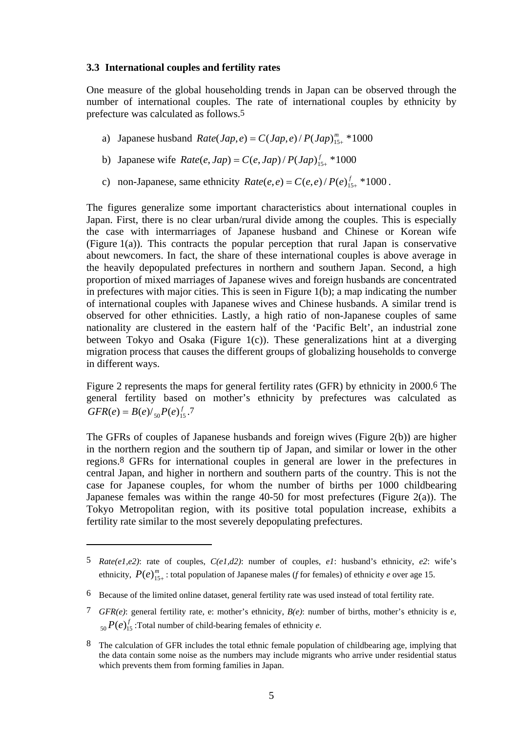#### **3.3 International couples and fertility rates**

One measure of the global householding trends in Japan can be observed through the number of international couples. The rate of international couples by ethnicity by prefecture was calculated as follows.5

- a) Japanese husband  $Rate(Jap,e) = C(Jap,e)/P(Jap)_{15+}^{m} * 1000$
- b) Japanese wife  $Rate(e, Jap) = C(e, Jap) / P(Jap)_{15+}^f * 1000$
- c) non-Japanese, same ethnicity  $Rate(e,e) = C(e,e)/P(e)_{15+}^{f} * 1000$ .

The figures generalize some important characteristics about international couples in Japan. First, there is no clear urban/rural divide among the couples. This is especially the case with intermarriages of Japanese husband and Chinese or Korean wife (Figure 1(a)). This contracts the popular perception that rural Japan is conservative about newcomers. In fact, the share of these international couples is above average in the heavily depopulated prefectures in northern and southern Japan. Second, a high proportion of mixed marriages of Japanese wives and foreign husbands are concentrated in prefectures with major cities. This is seen in Figure 1(b); a map indicating the number of international couples with Japanese wives and Chinese husbands. A similar trend is observed for other ethnicities. Lastly, a high ratio of non-Japanese couples of same nationality are clustered in the eastern half of the 'Pacific Belt', an industrial zone between Tokyo and Osaka (Figure 1(c)). These generalizations hint at a diverging migration process that causes the different groups of globalizing households to converge in different ways.

Figure 2 represents the maps for general fertility rates (GFR) by ethnicity in 2000.6 The general fertility based on mother's ethnicity by prefectures was calculated as  $GFR(e) = B(e)/_{50}P(e)_{15}^f$ .7

The GFRs of couples of Japanese husbands and foreign wives (Figure 2(b)) are higher in the northern region and the southern tip of Japan, and similar or lower in the other regions.8 GFRs for international couples in general are lower in the prefectures in central Japan, and higher in northern and southern parts of the country. This is not the case for Japanese couples, for whom the number of births per 1000 childbearing Japanese females was within the range  $40-50$  for most prefectures (Figure 2(a)). The Tokyo Metropolitan region, with its positive total population increase, exhibits a fertility rate similar to the most severely depopulating prefectures.

1

<sup>5</sup> *Rate(e1,e2)*: rate of couples, *C(e1,d2)*: number of couples, *e1*: husband's ethnicity, *e2*: wife's ethnicity,  $P(e)_{15+}^m$ : total population of Japanese males (*f* for females) of ethnicity *e* over age 15.

<sup>6</sup> Because of the limited online dataset, general fertility rate was used instead of total fertility rate.

<sup>7</sup> *GFR(e)*: general fertility rate, e: mother's ethnicity, *B(e)*: number of births, mother's ethnicity is *e*,  $F(e)$ <sup>f</sup><sub>15</sub> :Total number of child-bearing females of ethnicity *e*.

<sup>8</sup> The calculation of GFR includes the total ethnic female population of childbearing age, implying that the data contain some noise as the numbers may include migrants who arrive under residential status which prevents them from forming families in Japan.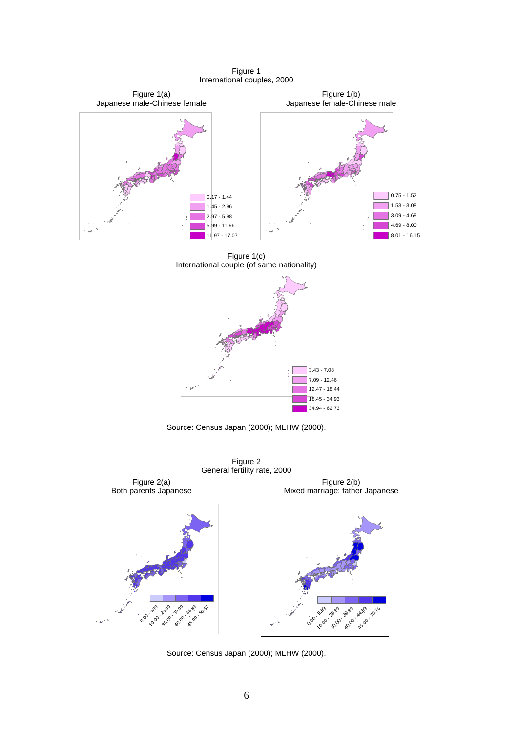Figure 1 International couples, 2000



Figure 1(c) International couple (of same nationality)



Source: Census Japan (2000); MLHW (2000).

Figure 2 General fertility rate, 2000 Figure 2(a) Both parents Japanese Figure 2(b) Mixed marriage: father Japanese 0.00 - 30.99 **30.00 - 39.99 40.00 - 40.99 - 40.57** 0.00 - 9.99<br>0.00 - 9.99 **30.00 - 30.99** &0.00 - 48.99 - 10.76

Source: Census Japan (2000); MLHW (2000).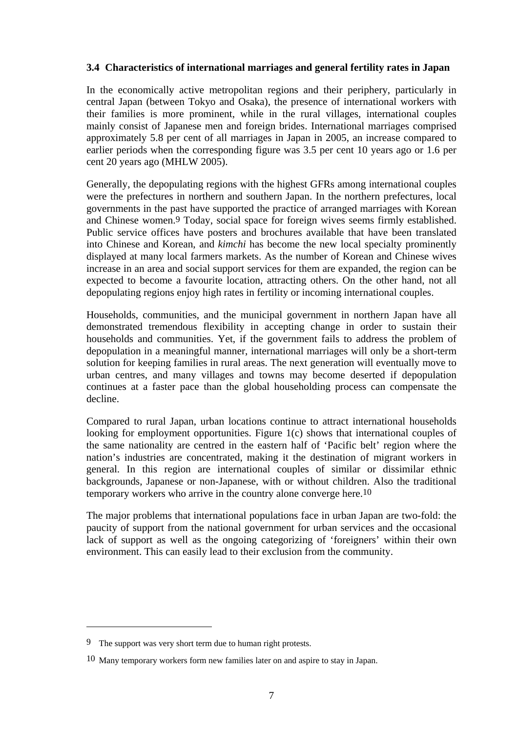## **3.4 Characteristics of international marriages and general fertility rates in Japan**

In the economically active metropolitan regions and their periphery, particularly in central Japan (between Tokyo and Osaka), the presence of international workers with their families is more prominent, while in the rural villages, international couples mainly consist of Japanese men and foreign brides. International marriages comprised approximately 5.8 per cent of all marriages in Japan in 2005, an increase compared to earlier periods when the corresponding figure was 3.5 per cent 10 years ago or 1.6 per cent 20 years ago (MHLW 2005).

Generally, the depopulating regions with the highest GFRs among international couples were the prefectures in northern and southern Japan. In the northern prefectures, local governments in the past have supported the practice of arranged marriages with Korean and Chinese women.9 Today, social space for foreign wives seems firmly established. Public service offices have posters and brochures available that have been translated into Chinese and Korean, and *kimchi* has become the new local specialty prominently displayed at many local farmers markets. As the number of Korean and Chinese wives increase in an area and social support services for them are expanded, the region can be expected to become a favourite location, attracting others. On the other hand, not all depopulating regions enjoy high rates in fertility or incoming international couples.

Households, communities, and the municipal government in northern Japan have all demonstrated tremendous flexibility in accepting change in order to sustain their households and communities. Yet, if the government fails to address the problem of depopulation in a meaningful manner, international marriages will only be a short-term solution for keeping families in rural areas. The next generation will eventually move to urban centres, and many villages and towns may become deserted if depopulation continues at a faster pace than the global householding process can compensate the decline.

Compared to rural Japan, urban locations continue to attract international households looking for employment opportunities. Figure 1(c) shows that international couples of the same nationality are centred in the eastern half of 'Pacific belt' region where the nation's industries are concentrated, making it the destination of migrant workers in general. In this region are international couples of similar or dissimilar ethnic backgrounds, Japanese or non-Japanese, with or without children. Also the traditional temporary workers who arrive in the country alone converge here.10

The major problems that international populations face in urban Japan are two-fold: the paucity of support from the national government for urban services and the occasional lack of support as well as the ongoing categorizing of 'foreigners' within their own environment. This can easily lead to their exclusion from the community.

1

<sup>9</sup> The support was very short term due to human right protests.

<sup>10</sup> Many temporary workers form new families later on and aspire to stay in Japan.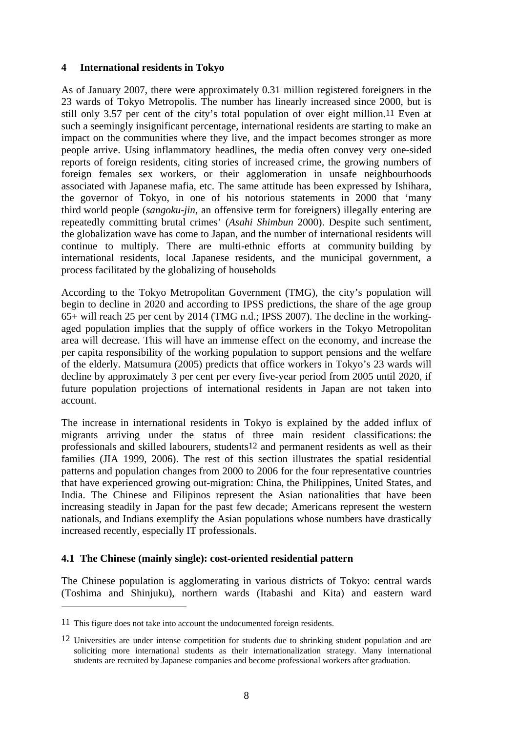## **4 International residents in Tokyo**

As of January 2007, there were approximately 0.31 million registered foreigners in the 23 wards of Tokyo Metropolis. The number has linearly increased since 2000, but is still only 3.57 per cent of the city's total population of over eight million.11 Even at such a seemingly insignificant percentage, international residents are starting to make an impact on the communities where they live, and the impact becomes stronger as more people arrive. Using inflammatory headlines, the media often convey very one-sided reports of foreign residents, citing stories of increased crime, the growing numbers of foreign females sex workers, or their agglomeration in unsafe neighbourhoods associated with Japanese mafia, etc. The same attitude has been expressed by Ishihara, the governor of Tokyo, in one of his notorious statements in 2000 that 'many third world people (*sangoku-jin*, an offensive term for foreigners) illegally entering are repeatedly committing brutal crimes' (*Asahi Shimbun* 2000). Despite such sentiment, the globalization wave has come to Japan, and the number of international residents will continue to multiply. There are multi-ethnic efforts at community building by international residents, local Japanese residents, and the municipal government, a process facilitated by the globalizing of households

According to the Tokyo Metropolitan Government (TMG), the city's population will begin to decline in 2020 and according to IPSS predictions, the share of the age group 65+ will reach 25 per cent by 2014 (TMG n.d.; IPSS 2007). The decline in the workingaged population implies that the supply of office workers in the Tokyo Metropolitan area will decrease. This will have an immense effect on the economy, and increase the per capita responsibility of the working population to support pensions and the welfare of the elderly. Matsumura (2005) predicts that office workers in Tokyo's 23 wards will decline by approximately 3 per cent per every five-year period from 2005 until 2020, if future population projections of international residents in Japan are not taken into account.

The increase in international residents in Tokyo is explained by the added influx of migrants arriving under the status of three main resident classifications: the professionals and skilled labourers, students12 and permanent residents as well as their families (JIA 1999, 2006). The rest of this section illustrates the spatial residential patterns and population changes from 2000 to 2006 for the four representative countries that have experienced growing out-migration: China, the Philippines, United States, and India. The Chinese and Filipinos represent the Asian nationalities that have been increasing steadily in Japan for the past few decade; Americans represent the western nationals, and Indians exemplify the Asian populations whose numbers have drastically increased recently, especially IT professionals.

#### **4.1 The Chinese (mainly single): cost-oriented residential pattern**

The Chinese population is agglomerating in various districts of Tokyo: central wards (Toshima and Shinjuku), northern wards (Itabashi and Kita) and eastern ward

 $\overline{a}$ 

<sup>11</sup> This figure does not take into account the undocumented foreign residents.

<sup>12</sup> Universities are under intense competition for students due to shrinking student population and are soliciting more international students as their internationalization strategy. Many international students are recruited by Japanese companies and become professional workers after graduation.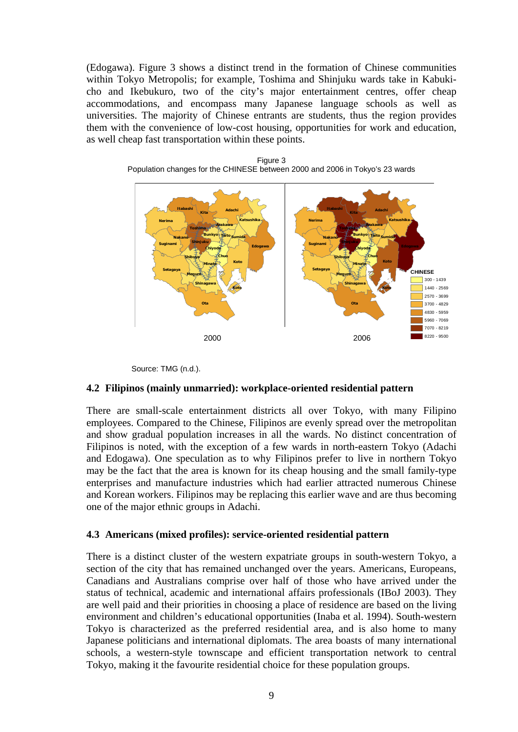(Edogawa). Figure 3 shows a distinct trend in the formation of Chinese communities within Tokyo Metropolis; for example, Toshima and Shinjuku wards take in Kabukicho and Ikebukuro, two of the city's major entertainment centres, offer cheap accommodations, and encompass many Japanese language schools as well as universities. The majority of Chinese entrants are students, thus the region provides them with the convenience of low-cost housing, opportunities for work and education, as well cheap fast transportation within these points.







#### **4.2 Filipinos (mainly unmarried): workplace-oriented residential pattern**

There are small-scale entertainment districts all over Tokyo, with many Filipino employees. Compared to the Chinese, Filipinos are evenly spread over the metropolitan and show gradual population increases in all the wards. No distinct concentration of Filipinos is noted, with the exception of a few wards in north-eastern Tokyo (Adachi and Edogawa). One speculation as to why Filipinos prefer to live in northern Tokyo may be the fact that the area is known for its cheap housing and the small family-type enterprises and manufacture industries which had earlier attracted numerous Chinese and Korean workers. Filipinos may be replacing this earlier wave and are thus becoming one of the major ethnic groups in Adachi.

#### **4.3 Americans (mixed profiles): service-oriented residential pattern**

There is a distinct cluster of the western expatriate groups in south-western Tokyo, a section of the city that has remained unchanged over the years. Americans, Europeans, Canadians and Australians comprise over half of those who have arrived under the status of technical, academic and international affairs professionals (IBoJ 2003). They are well paid and their priorities in choosing a place of residence are based on the living environment and children's educational opportunities (Inaba et al. 1994). South-western Tokyo is characterized as the preferred residential area, and is also home to many Japanese politicians and international diplomats. The area boasts of many international schools, a western-style townscape and efficient transportation network to central Tokyo, making it the favourite residential choice for these population groups.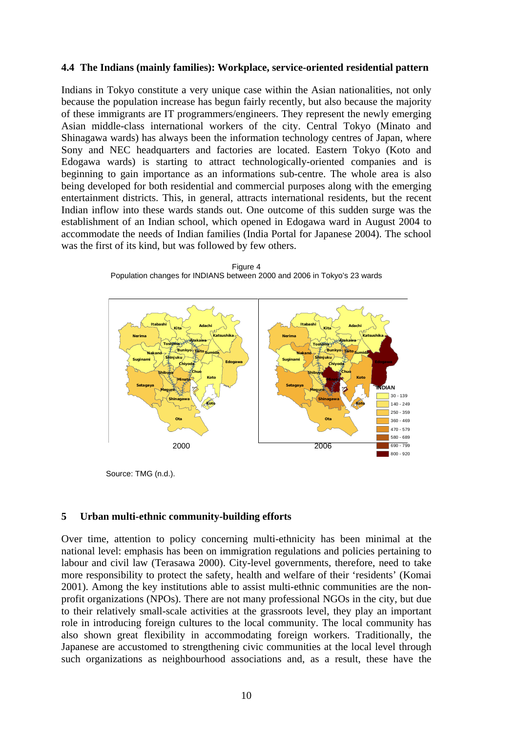#### **4.4 The Indians (mainly families): Workplace, service-oriented residential pattern**

Indians in Tokyo constitute a very unique case within the Asian nationalities, not only because the population increase has begun fairly recently, but also because the majority of these immigrants are IT programmers/engineers. They represent the newly emerging Asian middle-class international workers of the city. Central Tokyo (Minato and Shinagawa wards) has always been the information technology centres of Japan, where Sony and NEC headquarters and factories are located. Eastern Tokyo (Koto and Edogawa wards) is starting to attract technologically-oriented companies and is beginning to gain importance as an informations sub-centre. The whole area is also being developed for both residential and commercial purposes along with the emerging entertainment districts. This, in general, attracts international residents, but the recent Indian inflow into these wards stands out. One outcome of this sudden surge was the establishment of an Indian school, which opened in Edogawa ward in August 2004 to accommodate the needs of Indian families (India Portal for Japanese 2004). The school was the first of its kind, but was followed by few others.

Figure 4 Population changes for INDIANS between 2000 and 2006 in Tokyo's 23 wards



Source: TMG (n.d.).

#### **5 Urban multi-ethnic community-building efforts**

Over time, attention to policy concerning multi-ethnicity has been minimal at the national level: emphasis has been on immigration regulations and policies pertaining to labour and civil law (Terasawa 2000). City-level governments, therefore, need to take more responsibility to protect the safety, health and welfare of their 'residents' (Komai 2001). Among the key institutions able to assist multi-ethnic communities are the nonprofit organizations (NPOs). There are not many professional NGOs in the city, but due to their relatively small-scale activities at the grassroots level, they play an important role in introducing foreign cultures to the local community. The local community has also shown great flexibility in accommodating foreign workers. Traditionally, the Japanese are accustomed to strengthening civic communities at the local level through such organizations as neighbourhood associations and, as a result, these have the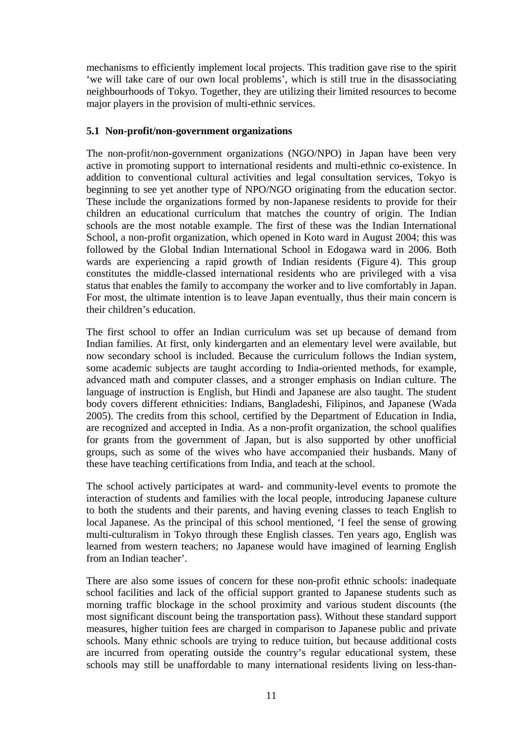mechanisms to efficiently implement local projects. This tradition gave rise to the spirit 'we will take care of our own local problems', which is still true in the disassociating neighbourhoods of Tokyo. Together, they are utilizing their limited resources to become major players in the provision of multi-ethnic services.

## **5.1 Non-profit/non-government organizations**

The non-profit/non-government organizations (NGO/NPO) in Japan have been very active in promoting support to international residents and multi-ethnic co-existence. In addition to conventional cultural activities and legal consultation services, Tokyo is beginning to see yet another type of NPO/NGO originating from the education sector. These include the organizations formed by non-Japanese residents to provide for their children an educational curriculum that matches the country of origin. The Indian schools are the most notable example. The first of these was the Indian International School, a non-profit organization, which opened in Koto ward in August 2004; this was followed by the Global Indian International School in Edogawa ward in 2006. Both wards are experiencing a rapid growth of Indian residents (Figure 4). This group constitutes the middle-classed international residents who are privileged with a visa status that enables the family to accompany the worker and to live comfortably in Japan. For most, the ultimate intention is to leave Japan eventually, thus their main concern is their children's education.

The first school to offer an Indian curriculum was set up because of demand from Indian families. At first, only kindergarten and an elementary level were available, but now secondary school is included. Because the curriculum follows the Indian system, some academic subjects are taught according to India-oriented methods, for example, advanced math and computer classes, and a stronger emphasis on Indian culture. The language of instruction is English, but Hindi and Japanese are also taught. The student body covers different ethnicities: Indians, Bangladeshi, Filipinos, and Japanese (Wada 2005). The credits from this school, certified by the Department of Education in India, are recognized and accepted in India. As a non-profit organization, the school qualifies for grants from the government of Japan, but is also supported by other unofficial groups, such as some of the wives who have accompanied their husbands. Many of these have teaching certifications from India, and teach at the school.

The school actively participates at ward- and community-level events to promote the interaction of students and families with the local people, introducing Japanese culture to both the students and their parents, and having evening classes to teach English to local Japanese. As the principal of this school mentioned, 'I feel the sense of growing multi-culturalism in Tokyo through these English classes. Ten years ago, English was learned from western teachers; no Japanese would have imagined of learning English from an Indian teacher'.

There are also some issues of concern for these non-profit ethnic schools: inadequate school facilities and lack of the official support granted to Japanese students such as morning traffic blockage in the school proximity and various student discounts (the most significant discount being the transportation pass). Without these standard support measures, higher tuition fees are charged in comparison to Japanese public and private schools. Many ethnic schools are trying to reduce tuition, but because additional costs are incurred from operating outside the country's regular educational system, these schools may still be unaffordable to many international residents living on less-than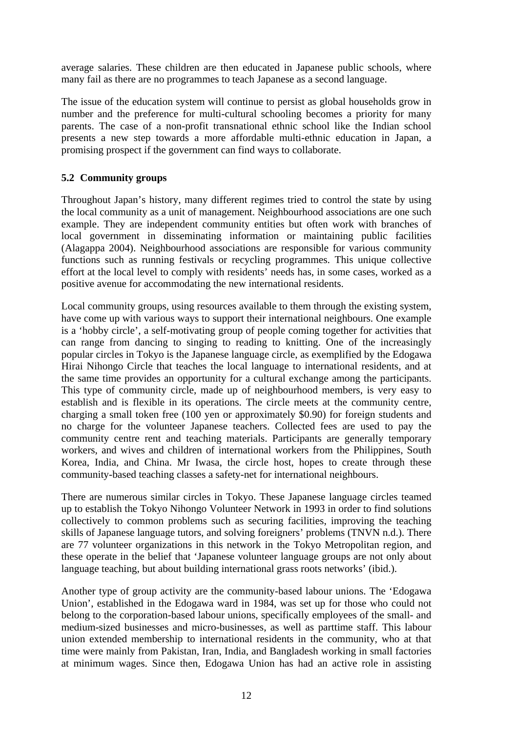average salaries. These children are then educated in Japanese public schools, where many fail as there are no programmes to teach Japanese as a second language.

The issue of the education system will continue to persist as global households grow in number and the preference for multi-cultural schooling becomes a priority for many parents. The case of a non-profit transnational ethnic school like the Indian school presents a new step towards a more affordable multi-ethnic education in Japan, a promising prospect if the government can find ways to collaborate.

# **5.2 Community groups**

Throughout Japan's history, many different regimes tried to control the state by using the local community as a unit of management. Neighbourhood associations are one such example. They are independent community entities but often work with branches of local government in disseminating information or maintaining public facilities (Alagappa 2004). Neighbourhood associations are responsible for various community functions such as running festivals or recycling programmes. This unique collective effort at the local level to comply with residents' needs has, in some cases, worked as a positive avenue for accommodating the new international residents.

Local community groups, using resources available to them through the existing system, have come up with various ways to support their international neighbours. One example is a 'hobby circle', a self-motivating group of people coming together for activities that can range from dancing to singing to reading to knitting. One of the increasingly popular circles in Tokyo is the Japanese language circle, as exemplified by the Edogawa Hirai Nihongo Circle that teaches the local language to international residents, and at the same time provides an opportunity for a cultural exchange among the participants. This type of community circle, made up of neighbourhood members, is very easy to establish and is flexible in its operations. The circle meets at the community centre, charging a small token free (100 yen or approximately \$0.90) for foreign students and no charge for the volunteer Japanese teachers. Collected fees are used to pay the community centre rent and teaching materials. Participants are generally temporary workers, and wives and children of international workers from the Philippines, South Korea, India, and China. Mr Iwasa, the circle host, hopes to create through these community-based teaching classes a safety-net for international neighbours.

There are numerous similar circles in Tokyo. These Japanese language circles teamed up to establish the Tokyo Nihongo Volunteer Network in 1993 in order to find solutions collectively to common problems such as securing facilities, improving the teaching skills of Japanese language tutors, and solving foreigners' problems (TNVN n.d.). There are 77 volunteer organizations in this network in the Tokyo Metropolitan region, and these operate in the belief that 'Japanese volunteer language groups are not only about language teaching, but about building international grass roots networks' (ibid.).

Another type of group activity are the community-based labour unions. The 'Edogawa Union', established in the Edogawa ward in 1984, was set up for those who could not belong to the corporation-based labour unions, specifically employees of the small- and medium-sized businesses and micro-businesses, as well as parttime staff. This labour union extended membership to international residents in the community, who at that time were mainly from Pakistan, Iran, India, and Bangladesh working in small factories at minimum wages. Since then, Edogawa Union has had an active role in assisting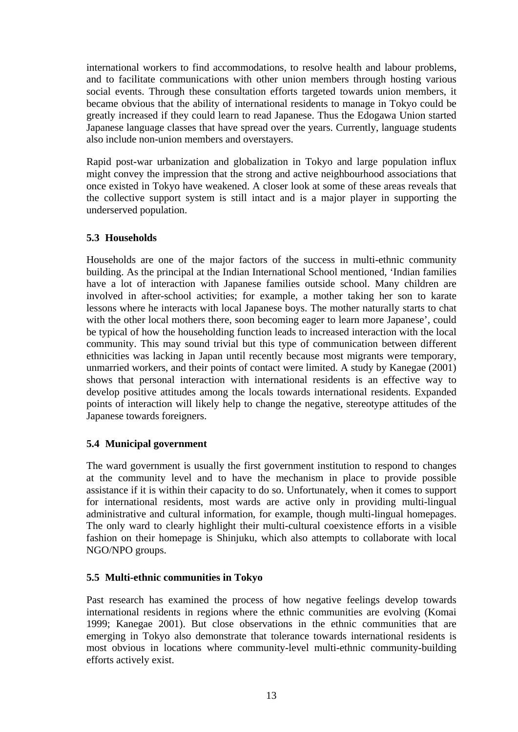international workers to find accommodations, to resolve health and labour problems, and to facilitate communications with other union members through hosting various social events. Through these consultation efforts targeted towards union members, it became obvious that the ability of international residents to manage in Tokyo could be greatly increased if they could learn to read Japanese. Thus the Edogawa Union started Japanese language classes that have spread over the years. Currently, language students also include non-union members and overstayers.

Rapid post-war urbanization and globalization in Tokyo and large population influx might convey the impression that the strong and active neighbourhood associations that once existed in Tokyo have weakened. A closer look at some of these areas reveals that the collective support system is still intact and is a major player in supporting the underserved population.

# **5.3 Households**

Households are one of the major factors of the success in multi-ethnic community building. As the principal at the Indian International School mentioned, 'Indian families have a lot of interaction with Japanese families outside school. Many children are involved in after-school activities; for example, a mother taking her son to karate lessons where he interacts with local Japanese boys. The mother naturally starts to chat with the other local mothers there, soon becoming eager to learn more Japanese', could be typical of how the householding function leads to increased interaction with the local community. This may sound trivial but this type of communication between different ethnicities was lacking in Japan until recently because most migrants were temporary, unmarried workers, and their points of contact were limited. A study by Kanegae (2001) shows that personal interaction with international residents is an effective way to develop positive attitudes among the locals towards international residents. Expanded points of interaction will likely help to change the negative, stereotype attitudes of the Japanese towards foreigners.

# **5.4 Municipal government**

The ward government is usually the first government institution to respond to changes at the community level and to have the mechanism in place to provide possible assistance if it is within their capacity to do so. Unfortunately, when it comes to support for international residents, most wards are active only in providing multi-lingual administrative and cultural information, for example, though multi-lingual homepages. The only ward to clearly highlight their multi-cultural coexistence efforts in a visible fashion on their homepage is Shinjuku, which also attempts to collaborate with local NGO/NPO groups.

# **5.5 Multi-ethnic communities in Tokyo**

Past research has examined the process of how negative feelings develop towards international residents in regions where the ethnic communities are evolving (Komai 1999; Kanegae 2001). But close observations in the ethnic communities that are emerging in Tokyo also demonstrate that tolerance towards international residents is most obvious in locations where community-level multi-ethnic community-building efforts actively exist.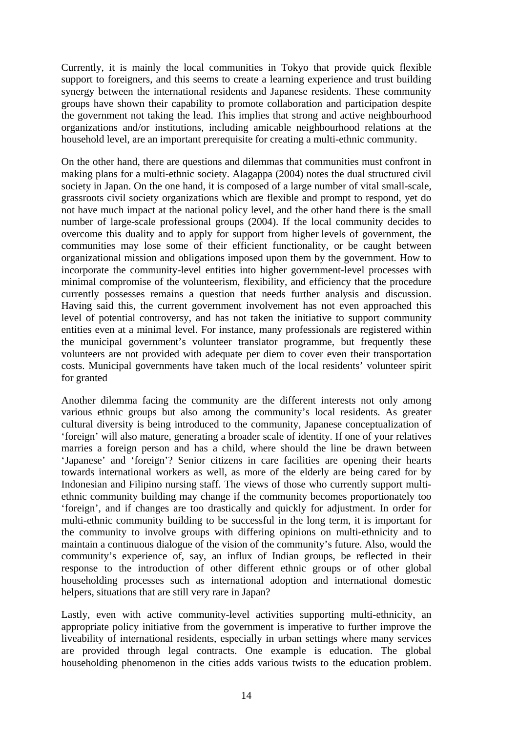Currently, it is mainly the local communities in Tokyo that provide quick flexible support to foreigners, and this seems to create a learning experience and trust building synergy between the international residents and Japanese residents. These community groups have shown their capability to promote collaboration and participation despite the government not taking the lead. This implies that strong and active neighbourhood organizations and/or institutions, including amicable neighbourhood relations at the household level, are an important prerequisite for creating a multi-ethnic community.

On the other hand, there are questions and dilemmas that communities must confront in making plans for a multi-ethnic society. Alagappa (2004) notes the dual structured civil society in Japan. On the one hand, it is composed of a large number of vital small-scale, grassroots civil society organizations which are flexible and prompt to respond, yet do not have much impact at the national policy level, and the other hand there is the small number of large-scale professional groups (2004). If the local community decides to overcome this duality and to apply for support from higher levels of government, the communities may lose some of their efficient functionality, or be caught between organizational mission and obligations imposed upon them by the government. How to incorporate the community-level entities into higher government-level processes with minimal compromise of the volunteerism, flexibility, and efficiency that the procedure currently possesses remains a question that needs further analysis and discussion. Having said this, the current government involvement has not even approached this level of potential controversy, and has not taken the initiative to support community entities even at a minimal level. For instance, many professionals are registered within the municipal government's volunteer translator programme, but frequently these volunteers are not provided with adequate per diem to cover even their transportation costs. Municipal governments have taken much of the local residents' volunteer spirit for granted

Another dilemma facing the community are the different interests not only among various ethnic groups but also among the community's local residents. As greater cultural diversity is being introduced to the community, Japanese conceptualization of 'foreign' will also mature, generating a broader scale of identity. If one of your relatives marries a foreign person and has a child, where should the line be drawn between 'Japanese' and 'foreign'? Senior citizens in care facilities are opening their hearts towards international workers as well, as more of the elderly are being cared for by Indonesian and Filipino nursing staff. The views of those who currently support multiethnic community building may change if the community becomes proportionately too 'foreign', and if changes are too drastically and quickly for adjustment. In order for multi-ethnic community building to be successful in the long term, it is important for the community to involve groups with differing opinions on multi-ethnicity and to maintain a continuous dialogue of the vision of the community's future. Also, would the community's experience of, say, an influx of Indian groups, be reflected in their response to the introduction of other different ethnic groups or of other global householding processes such as international adoption and international domestic helpers, situations that are still very rare in Japan?

Lastly, even with active community-level activities supporting multi-ethnicity, an appropriate policy initiative from the government is imperative to further improve the liveability of international residents, especially in urban settings where many services are provided through legal contracts. One example is education. The global householding phenomenon in the cities adds various twists to the education problem.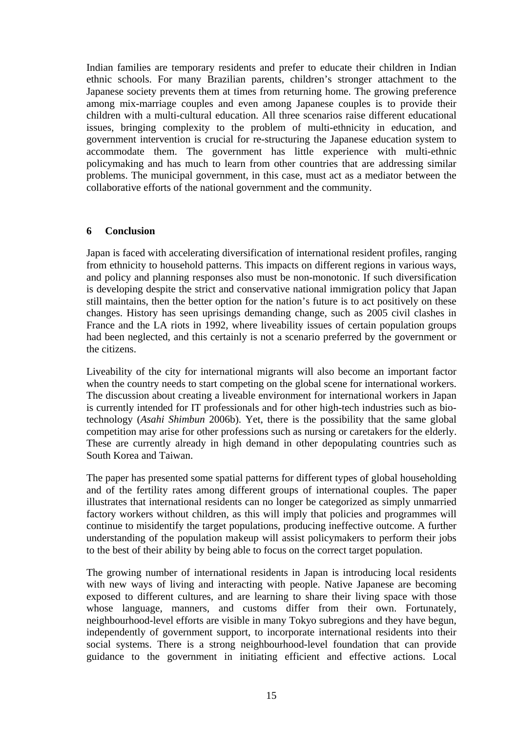Indian families are temporary residents and prefer to educate their children in Indian ethnic schools. For many Brazilian parents, children's stronger attachment to the Japanese society prevents them at times from returning home. The growing preference among mix-marriage couples and even among Japanese couples is to provide their children with a multi-cultural education. All three scenarios raise different educational issues, bringing complexity to the problem of multi-ethnicity in education, and government intervention is crucial for re-structuring the Japanese education system to accommodate them. The government has little experience with multi-ethnic policymaking and has much to learn from other countries that are addressing similar problems. The municipal government, in this case, must act as a mediator between the collaborative efforts of the national government and the community.

#### **6 Conclusion**

Japan is faced with accelerating diversification of international resident profiles, ranging from ethnicity to household patterns. This impacts on different regions in various ways, and policy and planning responses also must be non-monotonic. If such diversification is developing despite the strict and conservative national immigration policy that Japan still maintains, then the better option for the nation's future is to act positively on these changes. History has seen uprisings demanding change, such as 2005 civil clashes in France and the LA riots in 1992, where liveability issues of certain population groups had been neglected, and this certainly is not a scenario preferred by the government or the citizens.

Liveability of the city for international migrants will also become an important factor when the country needs to start competing on the global scene for international workers. The discussion about creating a liveable environment for international workers in Japan is currently intended for IT professionals and for other high-tech industries such as biotechnology (*Asahi Shimbun* 2006b). Yet, there is the possibility that the same global competition may arise for other professions such as nursing or caretakers for the elderly. These are currently already in high demand in other depopulating countries such as South Korea and Taiwan.

The paper has presented some spatial patterns for different types of global householding and of the fertility rates among different groups of international couples. The paper illustrates that international residents can no longer be categorized as simply unmarried factory workers without children, as this will imply that policies and programmes will continue to misidentify the target populations, producing ineffective outcome. A further understanding of the population makeup will assist policymakers to perform their jobs to the best of their ability by being able to focus on the correct target population.

The growing number of international residents in Japan is introducing local residents with new ways of living and interacting with people. Native Japanese are becoming exposed to different cultures, and are learning to share their living space with those whose language, manners, and customs differ from their own. Fortunately, neighbourhood-level efforts are visible in many Tokyo subregions and they have begun, independently of government support, to incorporate international residents into their social systems. There is a strong neighbourhood-level foundation that can provide guidance to the government in initiating efficient and effective actions. Local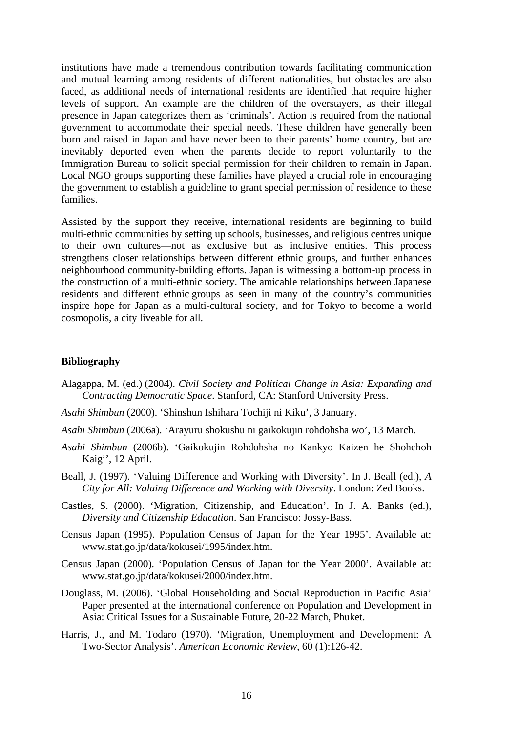institutions have made a tremendous contribution towards facilitating communication and mutual learning among residents of different nationalities, but obstacles are also faced, as additional needs of international residents are identified that require higher levels of support. An example are the children of the overstayers, as their illegal presence in Japan categorizes them as 'criminals'. Action is required from the national government to accommodate their special needs. These children have generally been born and raised in Japan and have never been to their parents' home country, but are inevitably deported even when the parents decide to report voluntarily to the Immigration Bureau to solicit special permission for their children to remain in Japan. Local NGO groups supporting these families have played a crucial role in encouraging the government to establish a guideline to grant special permission of residence to these families.

Assisted by the support they receive, international residents are beginning to build multi-ethnic communities by setting up schools, businesses, and religious centres unique to their own cultures—not as exclusive but as inclusive entities. This process strengthens closer relationships between different ethnic groups, and further enhances neighbourhood community-building efforts. Japan is witnessing a bottom-up process in the construction of a multi-ethnic society. The amicable relationships between Japanese residents and different ethnic groups as seen in many of the country's communities inspire hope for Japan as a multi-cultural society, and for Tokyo to become a world cosmopolis, a city liveable for all.

#### **Bibliography**

- Alagappa, M. (ed.) (2004). *Civil Society and Political Change in Asia: Expanding and Contracting Democratic Space*. Stanford, CA: Stanford University Press.
- *Asahi Shimbun* (2000). 'Shinshun Ishihara Tochiji ni Kiku', 3 January.
- *Asahi Shimbun* (2006a). 'Arayuru shokushu ni gaikokujin rohdohsha wo', 13 March.
- *Asahi Shimbun* (2006b). 'Gaikokujin Rohdohsha no Kankyo Kaizen he Shohchoh Kaigi', 12 April.
- Beall, J. (1997). 'Valuing Difference and Working with Diversity'. In J. Beall (ed.), *A City for All: Valuing Difference and Working with Diversity*. London: Zed Books.
- Castles, S. (2000). 'Migration, Citizenship, and Education'. In J. A. Banks (ed.), *Diversity and Citizenship Education*. San Francisco: Jossy-Bass.
- Census Japan (1995). Population Census of Japan for the Year 1995'. Available at: www.stat.go.jp/data/kokusei/1995/index.htm.
- Census Japan (2000). 'Population Census of Japan for the Year 2000'. Available at: www.stat.go.jp/data/kokusei/2000/index.htm.
- Douglass, M. (2006). 'Global Householding and Social Reproduction in Pacific Asia' Paper presented at the international conference on Population and Development in Asia: Critical Issues for a Sustainable Future, 20-22 March, Phuket.
- Harris, J., and M. Todaro (1970). 'Migration, Unemployment and Development: A Two-Sector Analysis'. *American Economic Review*, 60 (1):126-42.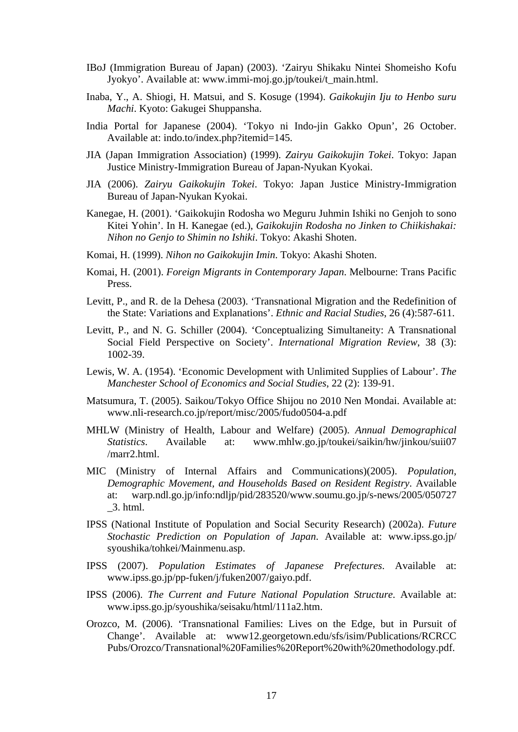- IBoJ (Immigration Bureau of Japan) (2003). 'Zairyu Shikaku Nintei Shomeisho Kofu Jyokyo'. Available at: www.immi-moj.go.jp/toukei/t\_main.html.
- Inaba, Y., A. Shiogi, H. Matsui, and S. Kosuge (1994). *Gaikokujin Iju to Henbo suru Machi*. Kyoto: Gakugei Shuppansha.
- India Portal for Japanese (2004). 'Tokyo ni Indo-jin Gakko Opun', 26 October. Available at: indo.to/index.php?itemid=145.
- JIA (Japan Immigration Association) (1999). *Zairyu Gaikokujin Tokei*. Tokyo: Japan Justice Ministry-Immigration Bureau of Japan-Nyukan Kyokai.
- JIA (2006). *Zairyu Gaikokujin Tokei*. Tokyo: Japan Justice Ministry-Immigration Bureau of Japan-Nyukan Kyokai.
- Kanegae, H. (2001). 'Gaikokujin Rodosha wo Meguru Juhmin Ishiki no Genjoh to sono Kitei Yohin'. In H. Kanegae (ed.), *Gaikokujin Rodosha no Jinken to Chiikishakai: Nihon no Genjo to Shimin no Ishiki*. Tokyo: Akashi Shoten.
- Komai, H. (1999). *Nihon no Gaikokujin Imin*. Tokyo: Akashi Shoten.
- Komai, H. (2001). *Foreign Migrants in Contemporary Japan*. Melbourne: Trans Pacific Press.
- Levitt, P., and R. de la Dehesa (2003). 'Transnational Migration and the Redefinition of the State: Variations and Explanations'. *Ethnic and Racial Studies*, 26 (4):587-611.
- Levitt, P., and N. G. Schiller (2004). 'Conceptualizing Simultaneity: A Transnational Social Field Perspective on Society'. *International Migration Review*, 38 (3): 1002-39.
- Lewis, W. A. (1954). 'Economic Development with Unlimited Supplies of Labour'. *The Manchester School of Economics and Social Studies*, 22 (2): 139-91.
- Matsumura, T. (2005). Saikou/Tokyo Office Shijou no 2010 Nen Mondai. Available at: www.nli-research.co.jp/report/misc/2005/fudo0504-a.pdf
- MHLW (Ministry of Health, Labour and Welfare) (2005). *Annual Demographical Statistics*. Available at: www.mhlw.go.jp/toukei/saikin/hw/jinkou/suii07 /marr2.html.
- MIC (Ministry of Internal Affairs and Communications)(2005). *Population, Demographic Movement, and Households Based on Resident Registry*. Available at: warp.ndl.go.jp/info:ndljp/pid/283520/www.soumu.go.jp/s-news/2005/050727 \_3. html.
- IPSS (National Institute of Population and Social Security Research) (2002a). *Future Stochastic Prediction on Population of Japan*. Available at: www.ipss.go.jp/ syoushika/tohkei/Mainmenu.asp.
- IPSS (2007). *Population Estimates of Japanese Prefectures*. Available at: www.ipss.go.jp/pp-fuken/j/fuken2007/gaiyo.pdf.
- IPSS (2006). *The Current and Future National Population Structure*. Available at: www.ipss.go.jp/syoushika/seisaku/html/111a2.htm.
- Orozco, M. (2006). 'Transnational Families: Lives on the Edge, but in Pursuit of Change'. Available at: www12.georgetown.edu/sfs/isim/Publications/RCRCC Pubs/Orozco/Transnational%20Families%20Report%20with%20methodology.pdf.